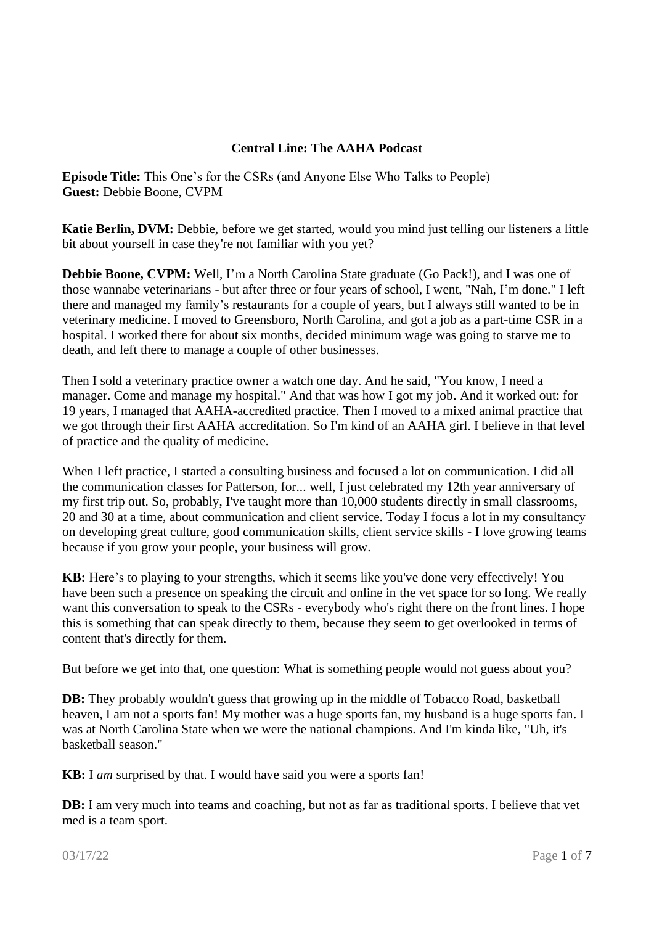## **Central Line: The AAHA Podcast**

**Episode Title:** This One's for the CSRs (and Anyone Else Who Talks to People) **Guest:** Debbie Boone, CVPM

**Katie Berlin, DVM:** Debbie, before we get started, would you mind just telling our listeners a little bit about yourself in case they're not familiar with you yet?

**Debbie Boone, CVPM:** Well, I'm a North Carolina State graduate (Go Pack!), and I was one of those wannabe veterinarians - but after three or four years of school, I went, "Nah, I'm done." I left there and managed my family's restaurants for a couple of years, but I always still wanted to be in veterinary medicine. I moved to Greensboro, North Carolina, and got a job as a part-time CSR in a hospital. I worked there for about six months, decided minimum wage was going to starve me to death, and left there to manage a couple of other businesses.

Then I sold a veterinary practice owner a watch one day. And he said, "You know, I need a manager. Come and manage my hospital." And that was how I got my job. And it worked out: for 19 years, I managed that AAHA-accredited practice. Then I moved to a mixed animal practice that we got through their first AAHA accreditation. So I'm kind of an AAHA girl. I believe in that level of practice and the quality of medicine.

When I left practice, I started a consulting business and focused a lot on communication. I did all the communication classes for Patterson, for... well, I just celebrated my 12th year anniversary of my first trip out. So, probably, I've taught more than 10,000 students directly in small classrooms, 20 and 30 at a time, about communication and client service. Today I focus a lot in my consultancy on developing great culture, good communication skills, client service skills - I love growing teams because if you grow your people, your business will grow.

**KB:** Here's to playing to your strengths, which it seems like you've done very effectively! You have been such a presence on speaking the circuit and online in the vet space for so long. We really want this conversation to speak to the CSRs - everybody who's right there on the front lines. I hope this is something that can speak directly to them, because they seem to get overlooked in terms of content that's directly for them.

But before we get into that, one question: What is something people would not guess about you?

**DB:** They probably wouldn't guess that growing up in the middle of Tobacco Road, basketball heaven, I am not a sports fan! My mother was a huge sports fan, my husband is a huge sports fan. I was at North Carolina State when we were the national champions. And I'm kinda like, "Uh, it's basketball season."

**KB:** I *am* surprised by that. I would have said you were a sports fan!

**DB:** I am very much into teams and coaching, but not as far as traditional sports. I believe that vet med is a team sport.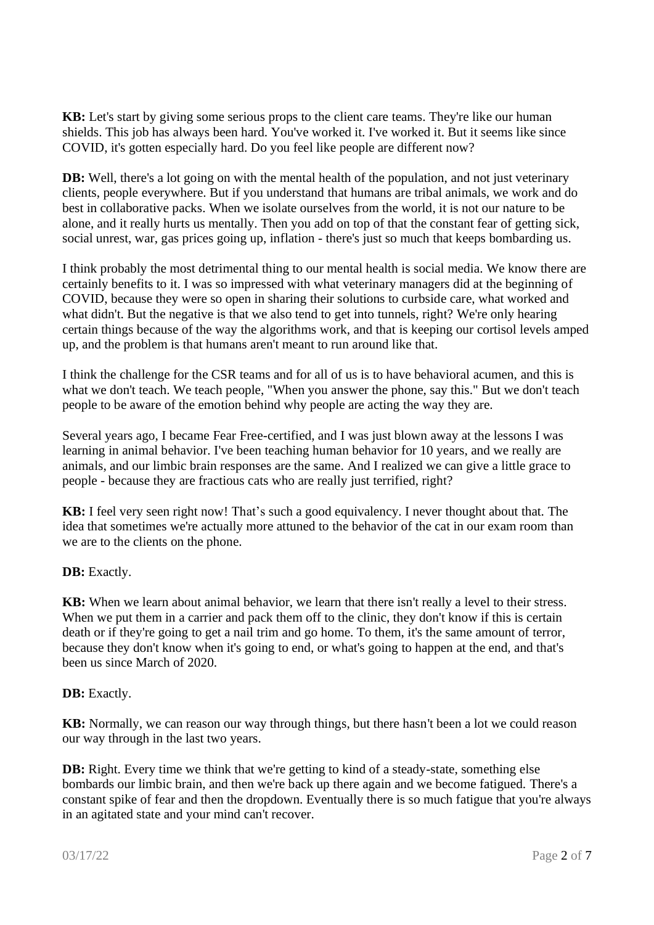**KB:** Let's start by giving some serious props to the client care teams. They're like our human shields. This job has always been hard. You've worked it. I've worked it. But it seems like since COVID, it's gotten especially hard. Do you feel like people are different now?

**DB:** Well, there's a lot going on with the mental health of the population, and not just veterinary clients, people everywhere. But if you understand that humans are tribal animals, we work and do best in collaborative packs. When we isolate ourselves from the world, it is not our nature to be alone, and it really hurts us mentally. Then you add on top of that the constant fear of getting sick, social unrest, war, gas prices going up, inflation - there's just so much that keeps bombarding us.

I think probably the most detrimental thing to our mental health is social media. We know there are certainly benefits to it. I was so impressed with what veterinary managers did at the beginning of COVID, because they were so open in sharing their solutions to curbside care, what worked and what didn't. But the negative is that we also tend to get into tunnels, right? We're only hearing certain things because of the way the algorithms work, and that is keeping our cortisol levels amped up, and the problem is that humans aren't meant to run around like that.

I think the challenge for the CSR teams and for all of us is to have behavioral acumen, and this is what we don't teach. We teach people, "When you answer the phone, say this." But we don't teach people to be aware of the emotion behind why people are acting the way they are.

Several years ago, I became Fear Free-certified, and I was just blown away at the lessons I was learning in animal behavior. I've been teaching human behavior for 10 years, and we really are animals, and our limbic brain responses are the same. And I realized we can give a little grace to people - because they are fractious cats who are really just terrified, right?

**KB:** I feel very seen right now! That's such a good equivalency. I never thought about that. The idea that sometimes we're actually more attuned to the behavior of the cat in our exam room than we are to the clients on the phone.

## **DB:** Exactly.

**KB:** When we learn about animal behavior, we learn that there isn't really a level to their stress. When we put them in a carrier and pack them off to the clinic, they don't know if this is certain death or if they're going to get a nail trim and go home. To them, it's the same amount of terror, because they don't know when it's going to end, or what's going to happen at the end, and that's been us since March of 2020.

## **DB:** Exactly.

**KB:** Normally, we can reason our way through things, but there hasn't been a lot we could reason our way through in the last two years.

**DB:** Right. Every time we think that we're getting to kind of a steady-state, something else bombards our limbic brain, and then we're back up there again and we become fatigued. There's a constant spike of fear and then the dropdown. Eventually there is so much fatigue that you're always in an agitated state and your mind can't recover.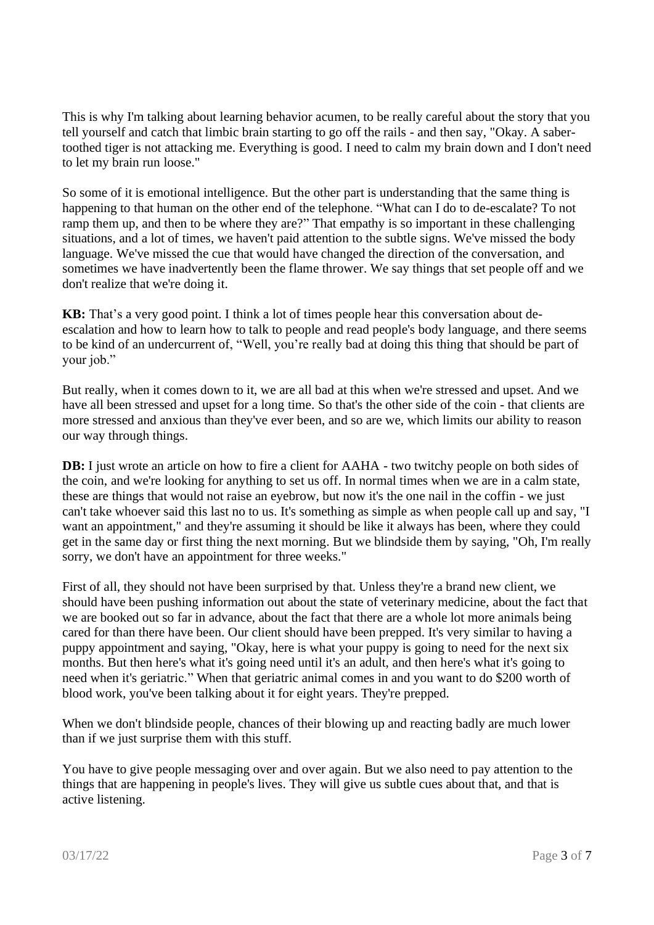This is why I'm talking about learning behavior acumen, to be really careful about the story that you tell yourself and catch that limbic brain starting to go off the rails - and then say, "Okay. A sabertoothed tiger is not attacking me. Everything is good. I need to calm my brain down and I don't need to let my brain run loose."

So some of it is emotional intelligence. But the other part is understanding that the same thing is happening to that human on the other end of the telephone. "What can I do to de-escalate? To not ramp them up, and then to be where they are?" That empathy is so important in these challenging situations, and a lot of times, we haven't paid attention to the subtle signs. We've missed the body language. We've missed the cue that would have changed the direction of the conversation, and sometimes we have inadvertently been the flame thrower. We say things that set people off and we don't realize that we're doing it.

**KB:** That's a very good point. I think a lot of times people hear this conversation about deescalation and how to learn how to talk to people and read people's body language, and there seems to be kind of an undercurrent of, "Well, you're really bad at doing this thing that should be part of your job."

But really, when it comes down to it, we are all bad at this when we're stressed and upset. And we have all been stressed and upset for a long time. So that's the other side of the coin - that clients are more stressed and anxious than they've ever been, and so are we, which limits our ability to reason our way through things.

**DB:** I just wrote an article on how to fire a client for AAHA - two twitchy people on both sides of the coin, and we're looking for anything to set us off. In normal times when we are in a calm state, these are things that would not raise an eyebrow, but now it's the one nail in the coffin - we just can't take whoever said this last no to us. It's something as simple as when people call up and say, "I want an appointment," and they're assuming it should be like it always has been, where they could get in the same day or first thing the next morning. But we blindside them by saying, "Oh, I'm really sorry, we don't have an appointment for three weeks."

First of all, they should not have been surprised by that. Unless they're a brand new client, we should have been pushing information out about the state of veterinary medicine, about the fact that we are booked out so far in advance, about the fact that there are a whole lot more animals being cared for than there have been. Our client should have been prepped. It's very similar to having a puppy appointment and saying, "Okay, here is what your puppy is going to need for the next six months. But then here's what it's going need until it's an adult, and then here's what it's going to need when it's geriatric." When that geriatric animal comes in and you want to do \$200 worth of blood work, you've been talking about it for eight years. They're prepped.

When we don't blindside people, chances of their blowing up and reacting badly are much lower than if we just surprise them with this stuff.

You have to give people messaging over and over again. But we also need to pay attention to the things that are happening in people's lives. They will give us subtle cues about that, and that is active listening.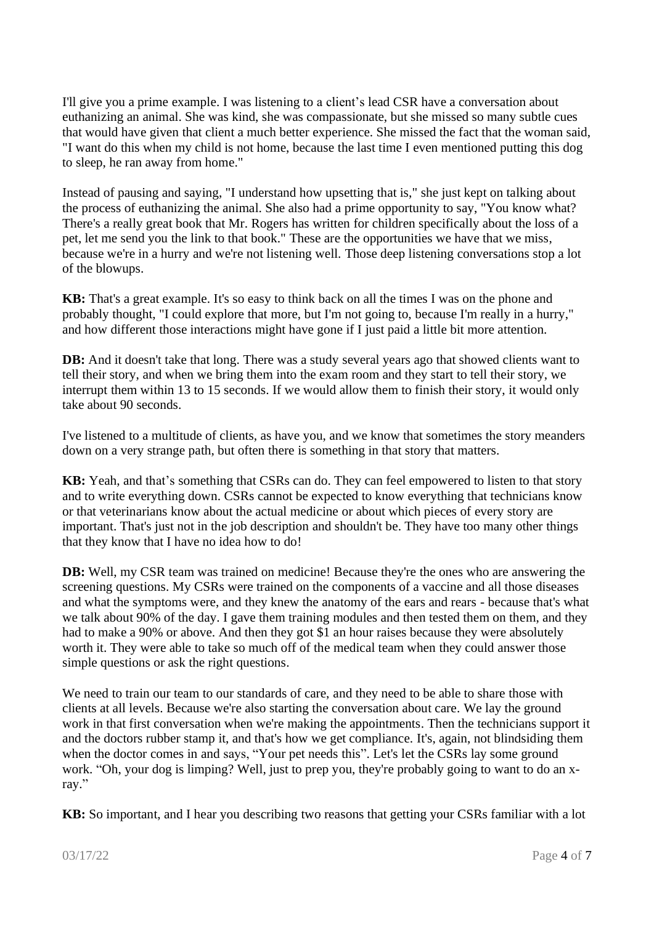I'll give you a prime example. I was listening to a client's lead CSR have a conversation about euthanizing an animal. She was kind, she was compassionate, but she missed so many subtle cues that would have given that client a much better experience. She missed the fact that the woman said, "I want do this when my child is not home, because the last time I even mentioned putting this dog to sleep, he ran away from home."

Instead of pausing and saying, "I understand how upsetting that is," she just kept on talking about the process of euthanizing the animal. She also had a prime opportunity to say, "You know what? There's a really great book that Mr. Rogers has written for children specifically about the loss of a pet, let me send you the link to that book." These are the opportunities we have that we miss, because we're in a hurry and we're not listening well. Those deep listening conversations stop a lot of the blowups.

**KB:** That's a great example. It's so easy to think back on all the times I was on the phone and probably thought, "I could explore that more, but I'm not going to, because I'm really in a hurry," and how different those interactions might have gone if I just paid a little bit more attention.

**DB:** And it doesn't take that long. There was a study several years ago that showed clients want to tell their story, and when we bring them into the exam room and they start to tell their story, we interrupt them within 13 to 15 seconds. If we would allow them to finish their story, it would only take about 90 seconds.

I've listened to a multitude of clients, as have you, and we know that sometimes the story meanders down on a very strange path, but often there is something in that story that matters.

**KB:** Yeah, and that's something that CSRs can do. They can feel empowered to listen to that story and to write everything down. CSRs cannot be expected to know everything that technicians know or that veterinarians know about the actual medicine or about which pieces of every story are important. That's just not in the job description and shouldn't be. They have too many other things that they know that I have no idea how to do!

**DB:** Well, my CSR team was trained on medicine! Because they're the ones who are answering the screening questions. My CSRs were trained on the components of a vaccine and all those diseases and what the symptoms were, and they knew the anatomy of the ears and rears - because that's what we talk about 90% of the day. I gave them training modules and then tested them on them, and they had to make a 90% or above. And then they got \$1 an hour raises because they were absolutely worth it. They were able to take so much off of the medical team when they could answer those simple questions or ask the right questions.

We need to train our team to our standards of care, and they need to be able to share those with clients at all levels. Because we're also starting the conversation about care. We lay the ground work in that first conversation when we're making the appointments. Then the technicians support it and the doctors rubber stamp it, and that's how we get compliance. It's, again, not blindsiding them when the doctor comes in and says, "Your pet needs this". Let's let the CSRs lay some ground work. "Oh, your dog is limping? Well, just to prep you, they're probably going to want to do an xray."

**KB:** So important, and I hear you describing two reasons that getting your CSRs familiar with a lot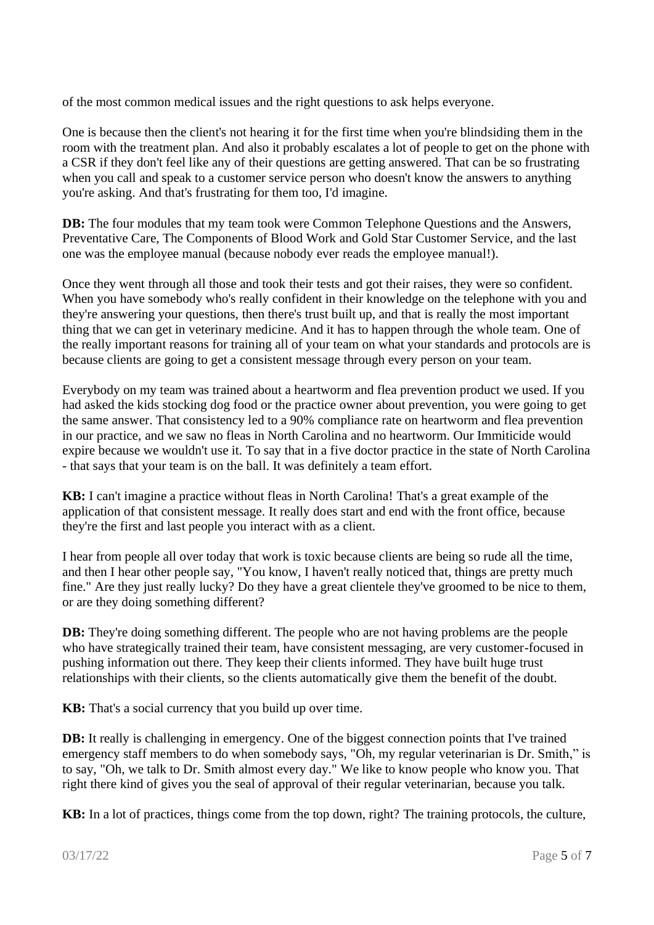of the most common medical issues and the right questions to ask helps everyone.

One is because then the client's not hearing it for the first time when you're blindsiding them in the room with the treatment plan. And also it probably escalates a lot of people to get on the phone with a CSR if they don't feel like any of their questions are getting answered. That can be so frustrating when you call and speak to a customer service person who doesn't know the answers to anything you're asking. And that's frustrating for them too, I'd imagine.

**DB:** The four modules that my team took were Common Telephone Questions and the Answers, Preventative Care, The Components of Blood Work and Gold Star Customer Service, and the last one was the employee manual (because nobody ever reads the employee manual!).

Once they went through all those and took their tests and got their raises, they were so confident. When you have somebody who's really confident in their knowledge on the telephone with you and they're answering your questions, then there's trust built up, and that is really the most important thing that we can get in veterinary medicine. And it has to happen through the whole team. One of the really important reasons for training all of your team on what your standards and protocols are is because clients are going to get a consistent message through every person on your team.

Everybody on my team was trained about a heartworm and flea prevention product we used. If you had asked the kids stocking dog food or the practice owner about prevention, you were going to get the same answer. That consistency led to a 90% compliance rate on heartworm and flea prevention in our practice, and we saw no fleas in North Carolina and no heartworm. Our Immiticide would expire because we wouldn't use it. To say that in a five doctor practice in the state of North Carolina - that says that your team is on the ball. It was definitely a team effort.

**KB:** I can't imagine a practice without fleas in North Carolina! That's a great example of the application of that consistent message. It really does start and end with the front office, because they're the first and last people you interact with as a client.

I hear from people all over today that work is toxic because clients are being so rude all the time, and then I hear other people say, "You know, I haven't really noticed that, things are pretty much fine." Are they just really lucky? Do they have a great clientele they've groomed to be nice to them, or are they doing something different?

**DB:** They're doing something different. The people who are not having problems are the people who have strategically trained their team, have consistent messaging, are very customer-focused in pushing information out there. They keep their clients informed. They have built huge trust relationships with their clients, so the clients automatically give them the benefit of the doubt.

**KB:** That's a social currency that you build up over time.

**DB:** It really is challenging in emergency. One of the biggest connection points that I've trained emergency staff members to do when somebody says, "Oh, my regular veterinarian is Dr. Smith," is to say, "Oh, we talk to Dr. Smith almost every day." We like to know people who know you. That right there kind of gives you the seal of approval of their regular veterinarian, because you talk.

**KB:** In a lot of practices, things come from the top down, right? The training protocols, the culture,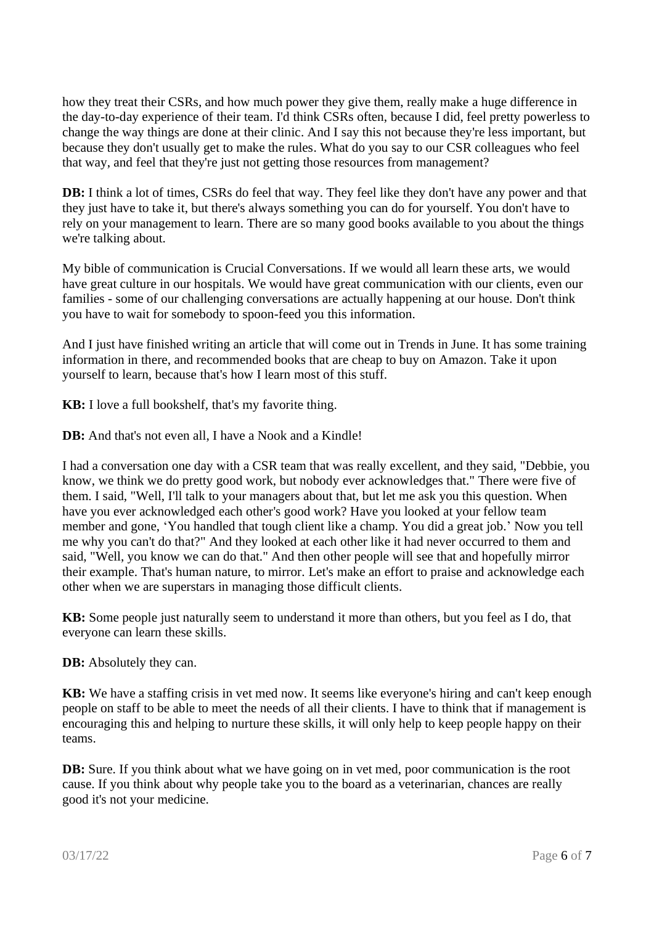how they treat their CSRs, and how much power they give them, really make a huge difference in the day-to-day experience of their team. I'd think CSRs often, because I did, feel pretty powerless to change the way things are done at their clinic. And I say this not because they're less important, but because they don't usually get to make the rules. What do you say to our CSR colleagues who feel that way, and feel that they're just not getting those resources from management?

**DB:** I think a lot of times, CSRs do feel that way. They feel like they don't have any power and that they just have to take it, but there's always something you can do for yourself. You don't have to rely on your management to learn. There are so many good books available to you about the things we're talking about.

My bible of communication is Crucial Conversations. If we would all learn these arts, we would have great culture in our hospitals. We would have great communication with our clients, even our families - some of our challenging conversations are actually happening at our house. Don't think you have to wait for somebody to spoon-feed you this information.

And I just have finished writing an article that will come out in Trends in June. It has some training information in there, and recommended books that are cheap to buy on Amazon. Take it upon yourself to learn, because that's how I learn most of this stuff.

**KB:** I love a full bookshelf, that's my favorite thing.

**DB:** And that's not even all. I have a Nook and a Kindle!

I had a conversation one day with a CSR team that was really excellent, and they said, "Debbie, you know, we think we do pretty good work, but nobody ever acknowledges that." There were five of them. I said, "Well, I'll talk to your managers about that, but let me ask you this question. When have you ever acknowledged each other's good work? Have you looked at your fellow team member and gone, 'You handled that tough client like a champ. You did a great job.' Now you tell me why you can't do that?" And they looked at each other like it had never occurred to them and said, "Well, you know we can do that." And then other people will see that and hopefully mirror their example. That's human nature, to mirror. Let's make an effort to praise and acknowledge each other when we are superstars in managing those difficult clients.

**KB:** Some people just naturally seem to understand it more than others, but you feel as I do, that everyone can learn these skills.

**DB:** Absolutely they can.

**KB:** We have a staffing crisis in vet med now. It seems like everyone's hiring and can't keep enough people on staff to be able to meet the needs of all their clients. I have to think that if management is encouraging this and helping to nurture these skills, it will only help to keep people happy on their teams.

**DB:** Sure. If you think about what we have going on in vet med, poor communication is the root cause. If you think about why people take you to the board as a veterinarian, chances are really good it's not your medicine.